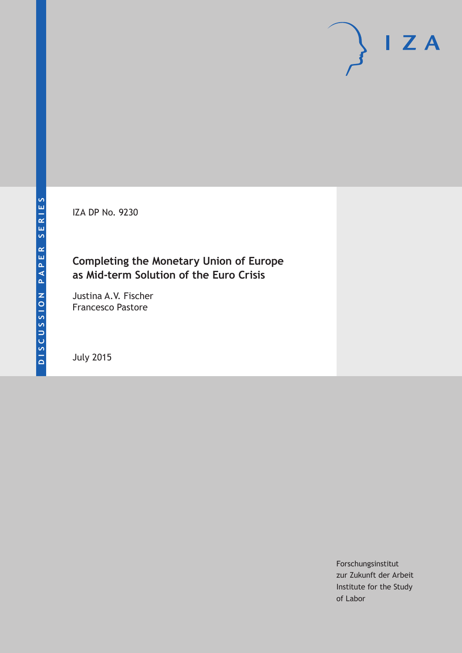IZA DP No. 9230

## **Completing the Monetary Union of Europe as Mid-term Solution of the Euro Crisis**

Justina A.V. Fischer Francesco Pastore

July 2015

Forschungsinstitut zur Zukunft der Arbeit Institute for the Study of Labor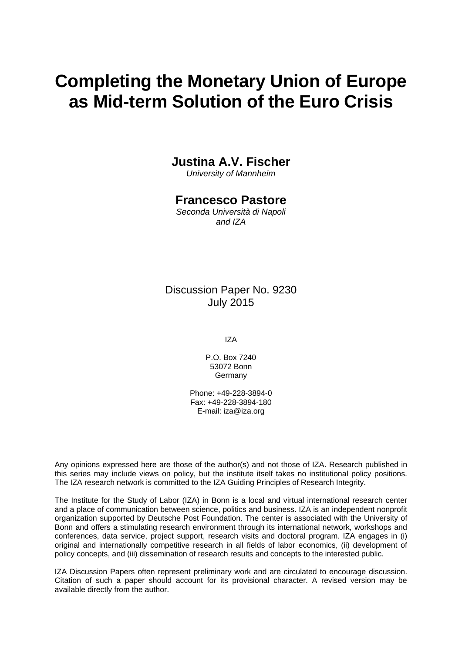# **Completing the Monetary Union of Europe as Mid-term Solution of the Euro Crisis**

### **Justina A.V. Fischer**

*University of Mannheim* 

### **Francesco Pastore**

*Seconda Università di Napoli and IZA* 

Discussion Paper No. 9230 July 2015

IZA

P.O. Box 7240 53072 Bonn Germany

Phone: +49-228-3894-0 Fax: +49-228-3894-180 E-mail: iza@iza.org

Any opinions expressed here are those of the author(s) and not those of IZA. Research published in this series may include views on policy, but the institute itself takes no institutional policy positions. The IZA research network is committed to the IZA Guiding Principles of Research Integrity.

The Institute for the Study of Labor (IZA) in Bonn is a local and virtual international research center and a place of communication between science, politics and business. IZA is an independent nonprofit organization supported by Deutsche Post Foundation. The center is associated with the University of Bonn and offers a stimulating research environment through its international network, workshops and conferences, data service, project support, research visits and doctoral program. IZA engages in (i) original and internationally competitive research in all fields of labor economics, (ii) development of policy concepts, and (iii) dissemination of research results and concepts to the interested public.

IZA Discussion Papers often represent preliminary work and are circulated to encourage discussion. Citation of such a paper should account for its provisional character. A revised version may be available directly from the author.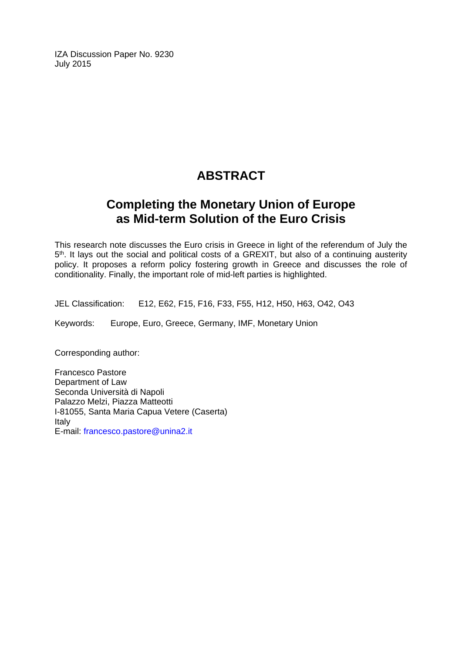IZA Discussion Paper No. 9230 July 2015

# **ABSTRACT**

# **Completing the Monetary Union of Europe as Mid-term Solution of the Euro Crisis**

This research note discusses the Euro crisis in Greece in light of the referendum of July the 5<sup>th</sup>. It lays out the social and political costs of a GREXIT, but also of a continuing austerity policy. It proposes a reform policy fostering growth in Greece and discusses the role of conditionality. Finally, the important role of mid-left parties is highlighted.

JEL Classification: E12, E62, F15, F16, F33, F55, H12, H50, H63, O42, O43

Keywords: Europe, Euro, Greece, Germany, IMF, Monetary Union

Corresponding author:

Francesco Pastore Department of Law Seconda Università di Napoli Palazzo Melzi, Piazza Matteotti I-81055, Santa Maria Capua Vetere (Caserta) Italy E-mail: francesco.pastore@unina2.it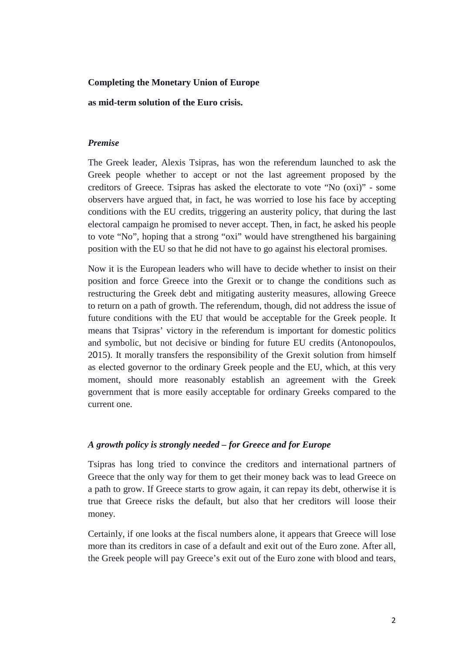#### **Completing the Monetary Union of Europe**

**as mid-term solution of the Euro crisis.**

#### *Premise*

The Greek leader, Alexis Tsipras, has won the referendum launched to ask the Greek people whether to accept or not the last agreement proposed by the creditors of Greece. Tsipras has asked the electorate to vote "No (oxi)" - some observers have argued that, in fact, he was worried to lose his face by accepting conditions with the EU credits, triggering an austerity policy, that during the last electoral campaign he promised to never accept. Then, in fact, he asked his people to vote "No", hoping that a strong "oxi" would have strengthened his bargaining position with the EU so that he did not have to go against his electoral promises.

Now it is the European leaders who will have to decide whether to insist on their position and force Greece into the Grexit or to change the conditions such as restructuring the Greek debt and mitigating austerity measures, allowing Greece to return on a path of growth. The referendum, though, did not address the issue of future conditions with the EU that would be acceptable for the Greek people. It means that Tsipras' victory in the referendum is important for domestic politics and symbolic, but not decisive or binding for future EU credits (Antonopoulos, 2015). It morally transfers the responsibility of the Grexit solution from himself as elected governor to the ordinary Greek people and the EU, which, at this very moment, should more reasonably establish an agreement with the Greek government that is more easily acceptable for ordinary Greeks compared to the current one.

#### *A growth policy is strongly needed – for Greece and for Europe*

Tsipras has long tried to convince the creditors and international partners of Greece that the only way for them to get their money back was to lead Greece on a path to grow. If Greece starts to grow again, it can repay its debt, otherwise it is true that Greece risks the default, but also that her creditors will loose their money.

Certainly, if one looks at the fiscal numbers alone, it appears that Greece will lose more than its creditors in case of a default and exit out of the Euro zone. After all, the Greek people will pay Greece's exit out of the Euro zone with blood and tears,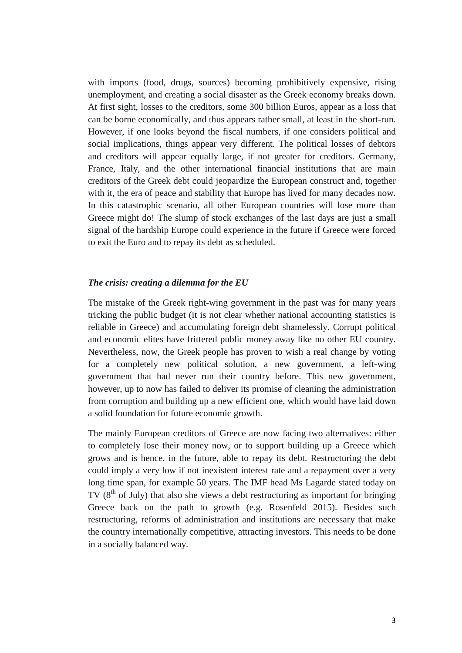with imports (food, drugs, sources) becoming prohibitively expensive, rising unemployment, and creating a social disaster as the Greek economy breaks down. At first sight, losses to the creditors, some 300 billion Euros, appear as a loss that can be borne economically, and thus appears rather small, at least in the short-run. However, if one looks beyond the fiscal numbers, if one considers political and social implications, things appear very different. The political losses of debtors and creditors will appear equally large, if not greater for creditors. Germany, France, Italy, and the other international financial institutions that are main creditors of the Greek debt could jeopardize the European construct and, together with it, the era of peace and stability that Europe has lived for many decades now. In this catastrophic scenario, all other European countries will lose more than Greece might do! The slump of stock exchanges of the last days are just a small signal of the hardship Europe could experience in the future if Greece were forced to exit the Euro and to repay its debt as scheduled.

#### *The crisis: creating a dilemma for the EU*

The mistake of the Greek right-wing government in the past was for many years tricking the public budget (it is not clear whether national accounting statistics is reliable in Greece) and accumulating foreign debt shamelessly. Corrupt political and economic elites have frittered public money away like no other EU country. Nevertheless, now, the Greek people has proven to wish a real change by voting for a completely new political solution, a new government, a left-wing government that had never run their country before. This new government, however, up to now has failed to deliver its promise of cleaning the administration from corruption and building up a new efficient one, which would have laid down a solid foundation for future economic growth.

The mainly European creditors of Greece are now facing two alternatives: either to completely lose their money now, or to support building up a Greece which grows and is hence, in the future, able to repay its debt. Restructuring the debt could imply a very low if not inexistent interest rate and a repayment over a very long time span, for example 50 years. The IMF head Ms Lagarde stated today on  $TV$  ( $8<sup>th</sup>$  of July) that also she views a debt restructuring as important for bringing Greece back on the path to growth (e.g. Rosenfeld 2015). Besides such restructuring, reforms of administration and institutions are necessary that make the country internationally competitive, attracting investors. This needs to be done in a socially balanced way.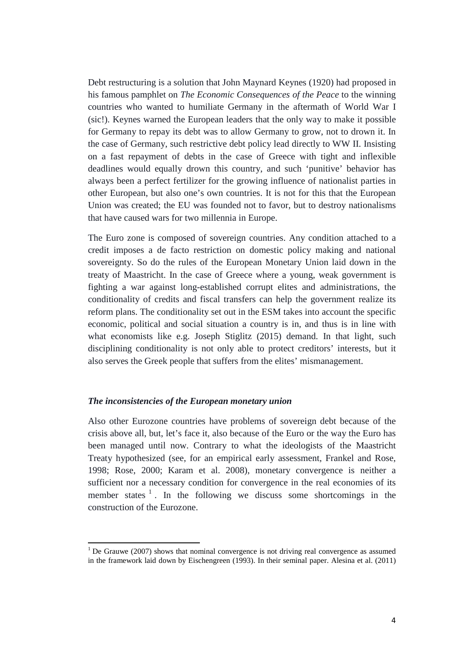Debt restructuring is a solution that John Maynard Keynes (1920) had proposed in his famous pamphlet on *The Economic Consequences of the Peace* to the winning countries who wanted to humiliate Germany in the aftermath of World War I (sic!). Keynes warned the European leaders that the only way to make it possible for Germany to repay its debt was to allow Germany to grow, not to drown it. In the case of Germany, such restrictive debt policy lead directly to WW II. Insisting on a fast repayment of debts in the case of Greece with tight and inflexible deadlines would equally drown this country, and such 'punitive' behavior has always been a perfect fertilizer for the growing influence of nationalist parties in other European, but also one's own countries. It is not for this that the European Union was created; the EU was founded not to favor, but to destroy nationalisms that have caused wars for two millennia in Europe.

The Euro zone is composed of sovereign countries. Any condition attached to a credit imposes a de facto restriction on domestic policy making and national sovereignty. So do the rules of the European Monetary Union laid down in the treaty of Maastricht. In the case of Greece where a young, weak government is fighting a war against long-established corrupt elites and administrations, the conditionality of credits and fiscal transfers can help the government realize its reform plans. The conditionality set out in the ESM takes into account the specific economic, political and social situation a country is in, and thus is in line with what economists like e.g. Joseph Stiglitz (2015) demand. In that light, such disciplining conditionality is not only able to protect creditors' interests, but it also serves the Greek people that suffers from the elites' mismanagement.

#### *The inconsistencies of the European monetary union*

Also other Eurozone countries have problems of sovereign debt because of the crisis above all, but, let's face it, also because of the Euro or the way the Euro has been managed until now. Contrary to what the ideologists of the Maastricht Treaty hypothesized (see, for an empirical early assessment, Frankel and Rose, 1998; Rose, 2000; Karam et al. 2008), monetary convergence is neither a sufficient nor a necessary condition for convergence in the real economies of its member states  $\frac{1}{1}$ . In the following we discuss some shortcomings in the construction of the Eurozone.

<span id="page-5-0"></span> $1$  De Grauwe (2007) shows that nominal convergence is not driving real convergence as assumed in the framework laid down by Eischengreen (1993). In their seminal paper. Alesina et al. (2011)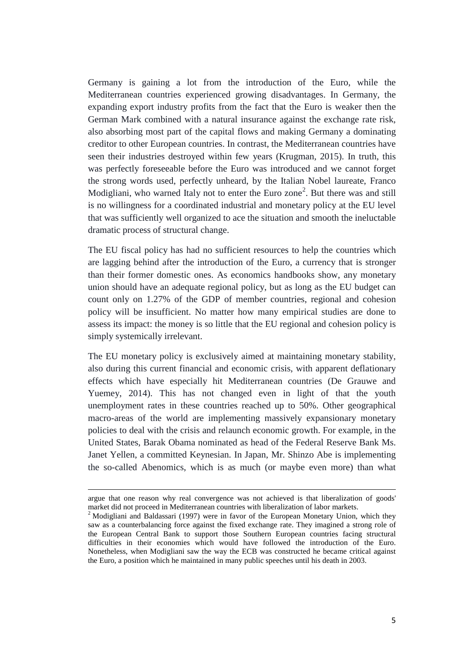Germany is gaining a lot from the introduction of the Euro, while the Mediterranean countries experienced growing disadvantages. In Germany, the expanding export industry profits from the fact that the Euro is weaker then the German Mark combined with a natural insurance against the exchange rate risk, also absorbing most part of the capital flows and making Germany a dominating creditor to other European countries. In contrast, the Mediterranean countries have seen their industries destroyed within few years (Krugman, 2015). In truth, this was perfectly foreseeable before the Euro was introduced and we cannot forget the strong words used, perfectly unheard, by the Italian Nobel laureate, Franco Modigliani, who warned Italy not to enter the Euro zone<sup>[2](#page-5-0)</sup>. But there was and still is no willingness for a coordinated industrial and monetary policy at the EU level that was sufficiently well organized to ace the situation and smooth the ineluctable dramatic process of structural change.

The EU fiscal policy has had no sufficient resources to help the countries which are lagging behind after the introduction of the Euro, a currency that is stronger than their former domestic ones. As economics handbooks show, any monetary union should have an adequate regional policy, but as long as the EU budget can count only on 1.27% of the GDP of member countries, regional and cohesion policy will be insufficient. No matter how many empirical studies are done to assess its impact: the money is so little that the EU regional and cohesion policy is simply systemically irrelevant.

The EU monetary policy is exclusively aimed at maintaining monetary stability, also during this current financial and economic crisis, with apparent deflationary effects which have especially hit Mediterranean countries (De Grauwe and Yuemey, 2014). This has not changed even in light of that the youth unemployment rates in these countries reached up to 50%. Other geographical macro-areas of the world are implementing massively expansionary monetary policies to deal with the crisis and relaunch economic growth. For example, in the United States, Barak Obama nominated as head of the Federal Reserve Bank Ms. Janet Yellen, a committed Keynesian. In Japan, Mr. Shinzo Abe is implementing the so-called Abenomics, which is as much (or maybe even more) than what

 $\overline{\phantom{a}}$ 

argue that one reason why real convergence was not achieved is that liberalization of goods' market did not proceed in Mediterranean countries with liberalization of labor markets.

 $2$  Modigliani and Baldassari (1997) were in favor of the European Monetary Union, which they saw as a counterbalancing force against the fixed exchange rate. They imagined a strong role of the European Central Bank to support those Southern European countries facing structural difficulties in their economies which would have followed the introduction of the Euro. Nonetheless, when Modigliani saw the way the ECB was constructed he became critical against the Euro, a position which he maintained in many public speeches until his death in 2003.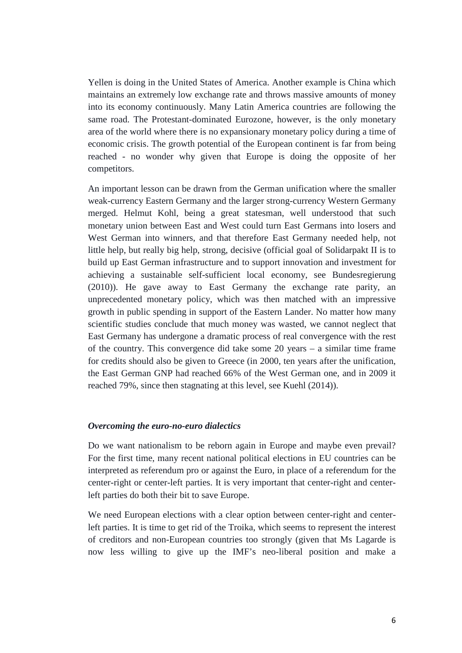Yellen is doing in the United States of America. Another example is China which maintains an extremely low exchange rate and throws massive amounts of money into its economy continuously. Many Latin America countries are following the same road. The Protestant-dominated Eurozone, however, is the only monetary area of the world where there is no expansionary monetary policy during a time of economic crisis. The growth potential of the European continent is far from being reached - no wonder why given that Europe is doing the opposite of her competitors.

An important lesson can be drawn from the German unification where the smaller weak-currency Eastern Germany and the larger strong-currency Western Germany merged. Helmut Kohl, being a great statesman, well understood that such monetary union between East and West could turn East Germans into losers and West German into winners, and that therefore East Germany needed help, not little help, but really big help, strong, decisive (official goal of Solidarpakt II is to build up East German infrastructure and to support innovation and investment for achieving a sustainable self-sufficient local economy, see Bundesregierung (2010)). He gave away to East Germany the exchange rate parity, an unprecedented monetary policy, which was then matched with an impressive growth in public spending in support of the Eastern Lander. No matter how many scientific studies conclude that much money was wasted, we cannot neglect that East Germany has undergone a dramatic process of real convergence with the rest of the country. This convergence did take some 20 years – a similar time frame for credits should also be given to Greece (in 2000, ten years after the unification, the East German GNP had reached 66% of the West German one, and in 2009 it reached 79%, since then stagnating at this level, see Kuehl (2014)).

#### *Overcoming the euro-no-euro dialectics*

Do we want nationalism to be reborn again in Europe and maybe even prevail? For the first time, many recent national political elections in EU countries can be interpreted as referendum pro or against the Euro, in place of a referendum for the center-right or center-left parties. It is very important that center-right and centerleft parties do both their bit to save Europe.

We need European elections with a clear option between center-right and centerleft parties. It is time to get rid of the Troika, which seems to represent the interest of creditors and non-European countries too strongly (given that Ms Lagarde is now less willing to give up the IMF's neo-liberal position and make a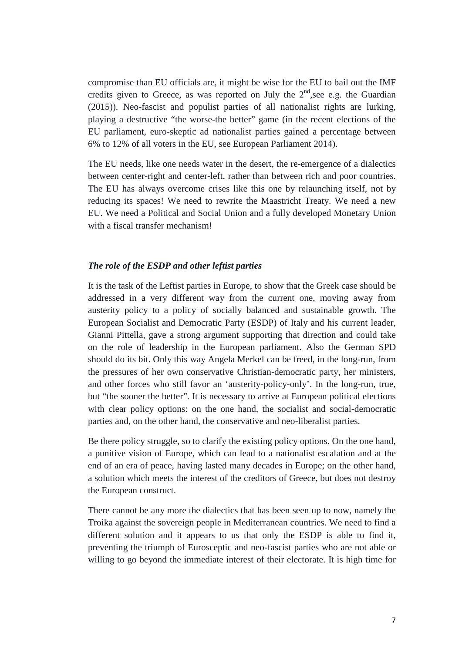compromise than EU officials are, it might be wise for the EU to bail out the IMF credits given to Greece, as was reported on July the  $2<sup>nd</sup>$ , see e.g. the Guardian (2015)). Neo-fascist and populist parties of all nationalist rights are lurking, playing a destructive "the worse-the better" game (in the recent elections of the EU parliament, euro-skeptic ad nationalist parties gained a percentage between 6% to 12% of all voters in the EU, see European Parliament 2014).

The EU needs, like one needs water in the desert, the re-emergence of a dialectics between center-right and center-left, rather than between rich and poor countries. The EU has always overcome crises like this one by relaunching itself, not by reducing its spaces! We need to rewrite the Maastricht Treaty. We need a new EU. We need a Political and Social Union and a fully developed Monetary Union with a fiscal transfer mechanism!

#### *The role of the ESDP and other leftist parties*

It is the task of the Leftist parties in Europe, to show that the Greek case should be addressed in a very different way from the current one, moving away from austerity policy to a policy of socially balanced and sustainable growth. The European Socialist and Democratic Party (ESDP) of Italy and his current leader, Gianni Pittella, gave a strong argument supporting that direction and could take on the role of leadership in the European parliament. Also the German SPD should do its bit. Only this way Angela Merkel can be freed, in the long-run, from the pressures of her own conservative Christian-democratic party, her ministers, and other forces who still favor an 'austerity-policy-only'. In the long-run, true, but "the sooner the better". It is necessary to arrive at European political elections with clear policy options: on the one hand, the socialist and social-democratic parties and, on the other hand, the conservative and neo-liberalist parties.

Be there policy struggle, so to clarify the existing policy options. On the one hand, a punitive vision of Europe, which can lead to a nationalist escalation and at the end of an era of peace, having lasted many decades in Europe; on the other hand, a solution which meets the interest of the creditors of Greece, but does not destroy the European construct.

There cannot be any more the dialectics that has been seen up to now, namely the Troika against the sovereign people in Mediterranean countries. We need to find a different solution and it appears to us that only the ESDP is able to find it, preventing the triumph of Eurosceptic and neo-fascist parties who are not able or willing to go beyond the immediate interest of their electorate. It is high time for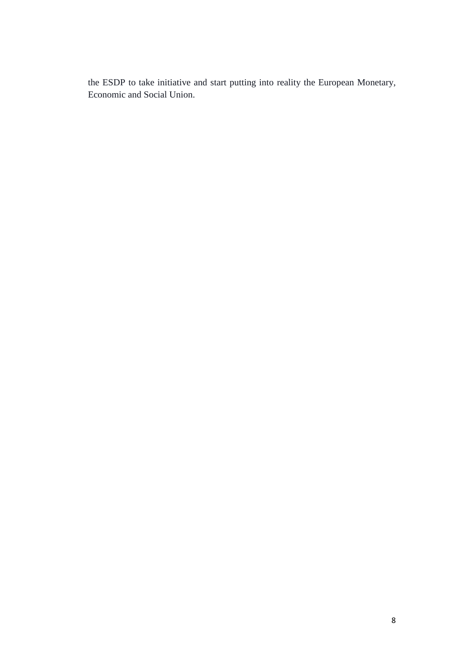the ESDP to take initiative and start putting into reality the European Monetary, Economic and Social Union.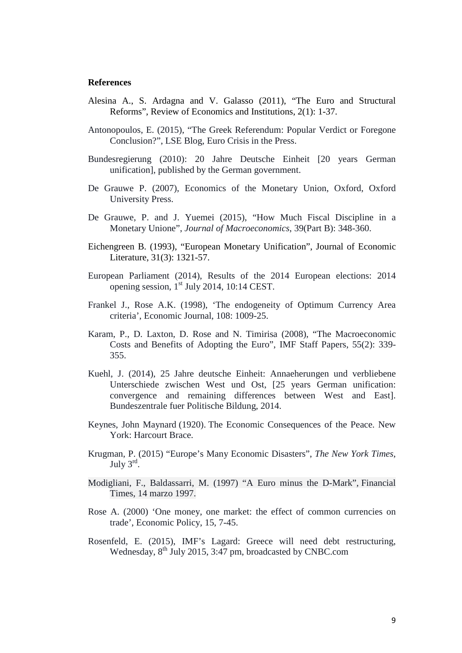#### **References**

- Alesina A., S. Ardagna and V. Galasso (2011), "The Euro and Structural Reforms", Review of Economics and Institutions, 2(1): 1-37.
- Antonopoulos, E. (2015), "The Greek Referendum: Popular Verdict or Foregone Conclusion?", LSE Blog, Euro Crisis in the Press.
- Bundesregierung (2010): 20 Jahre Deutsche Einheit [20 years German unification], published by the German government.
- De Grauwe P. (2007), Economics of the Monetary Union, Oxford, Oxford University Press.
- De Grauwe, P. and J. Yuemei (2015), "How Much Fiscal Discipline in a Monetary Unione", *Journal of Macroeconomics*, 39(Part B): 348-360.
- Eichengreen B. (1993), "European Monetary Unification", Journal of Economic Literature, 31(3): 1321-57.
- European Parliament (2014), Results of the 2014 European elections: 2014 opening session,  $1<sup>st</sup>$  July 2014, 10:14 CEST.
- Frankel J., Rose A.K. (1998), 'The endogeneity of Optimum Currency Area criteria', Economic Journal, 108: 1009-25.
- Karam, P., D. Laxton, D. Rose and N. Timirisa (2008), "The Macroeconomic Costs and Benefits of Adopting the Euro", IMF Staff Papers, 55(2): 339- 355.
- Kuehl, J. (2014), 25 Jahre deutsche Einheit: Annaeherungen und verbliebene Unterschiede zwischen West und Ost, [25 years German unification: convergence and remaining differences between West and East]. Bundeszentrale fuer Politische Bildung, 2014.
- [Keynes, John Maynard](https://en.wikipedia.org/wiki/John_Maynard_Keynes) (1920). The Economic Consequences of the Peace. New York: Harcourt Brace.
- Krugman, P. (2015) "Europe's Many Economic Disasters", *The New York Times*, July  $3^{\text{rd}}$ .
- Modigliani, F., Baldassarri, M. (1997) "A Euro minus the D-Mark", Financial Times, 14 marzo 1997.
- Rose A. (2000) 'One money, one market: the effect of common currencies on trade', Economic Policy, 15, 7-45.
- Rosenfeld, E. (2015), IMF's Lagard: Greece will need debt restructuring, Wednesday,  $8<sup>th</sup>$  July 2015, 3:47 pm, broadcasted by CNBC.com